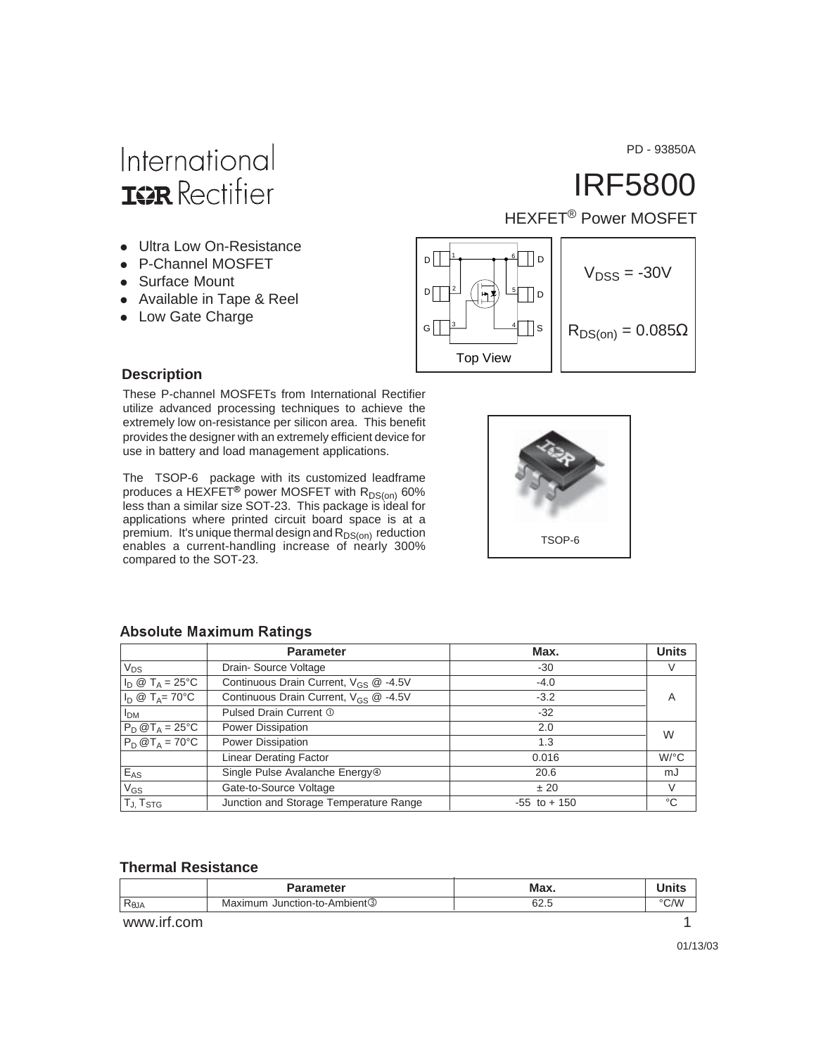PD - 93850A

## International **IGR** Rectifier

- Ultra Low On-Resistance
- P-Channel MOSFET
- Surface Mount
- Available in Tape & Reel
- Low Gate Charge

IRF5800

HEXFET<sup>®</sup> Power MOSFET



#### **Description**

These P-channel MOSFETs from International Rectifier utilize advanced processing techniques to achieve the extremely low on-resistance per silicon area. This benefit provides the designer with an extremely efficient device for use in battery and load management applications.

The TSOP-6 package with its customized leadframe produces a HEXFET® power MOSFET with  $R_{DS(on)}$  60% less than a similar size SOT-23. This package is ideal for applications where printed circuit board space is at a premium. It's unique thermal design and  $R_{DS(on)}$  reduction enables a current-handling increase of nearly 300% compared to the SOT-23.



|  | <b>Absolute Maximum Ratings</b> |  |
|--|---------------------------------|--|
|--|---------------------------------|--|

|                           | <b>Parameter</b>                                  | Max.            | <b>Units</b>         |
|---------------------------|---------------------------------------------------|-----------------|----------------------|
| $V_{DS}$                  | Drain-Source Voltage                              | -30             | V                    |
| $I_D \otimes T_A = 25$ °C | Continuous Drain Current, V <sub>GS</sub> @ -4.5V | $-4.0$          |                      |
| $I_D \otimes T_A = 70$ °C | Continuous Drain Current, $V_{GS}$ @ -4.5V        | $-3.2$          | Α                    |
| I <sub>DM</sub>           | Pulsed Drain Current 1                            | $-32$           |                      |
| $P_D @T_A = 25^{\circ}C$  | Power Dissipation                                 | 2.0             | W                    |
| $P_D @T_A = 70^{\circ}C$  | Power Dissipation                                 | 1.3             |                      |
|                           | <b>Linear Derating Factor</b>                     | 0.016           | $W$ <sup>o</sup> $C$ |
| $E_{AS}$                  | Single Pulse Avalanche Energy <sup>®</sup>        | 20.6            | mJ                   |
| $V_{GS}$                  | Gate-to-Source Voltage                            | ± 20            | V                    |
| T <sub>J, TstG</sub>      | Junction and Storage Temperature Range            | $-55$ to $+150$ | °C                   |

#### **Thermal Resistance**

|                                   | <b>Parameter</b>                         | Max. | Units |
|-----------------------------------|------------------------------------------|------|-------|
| $\mathsf{R}_{\theta \mathsf{JA}}$ | Maximum Junction-to-Ambient <sup>3</sup> | 62.5 | °C/W  |
| www.irf.com                       |                                          |      |       |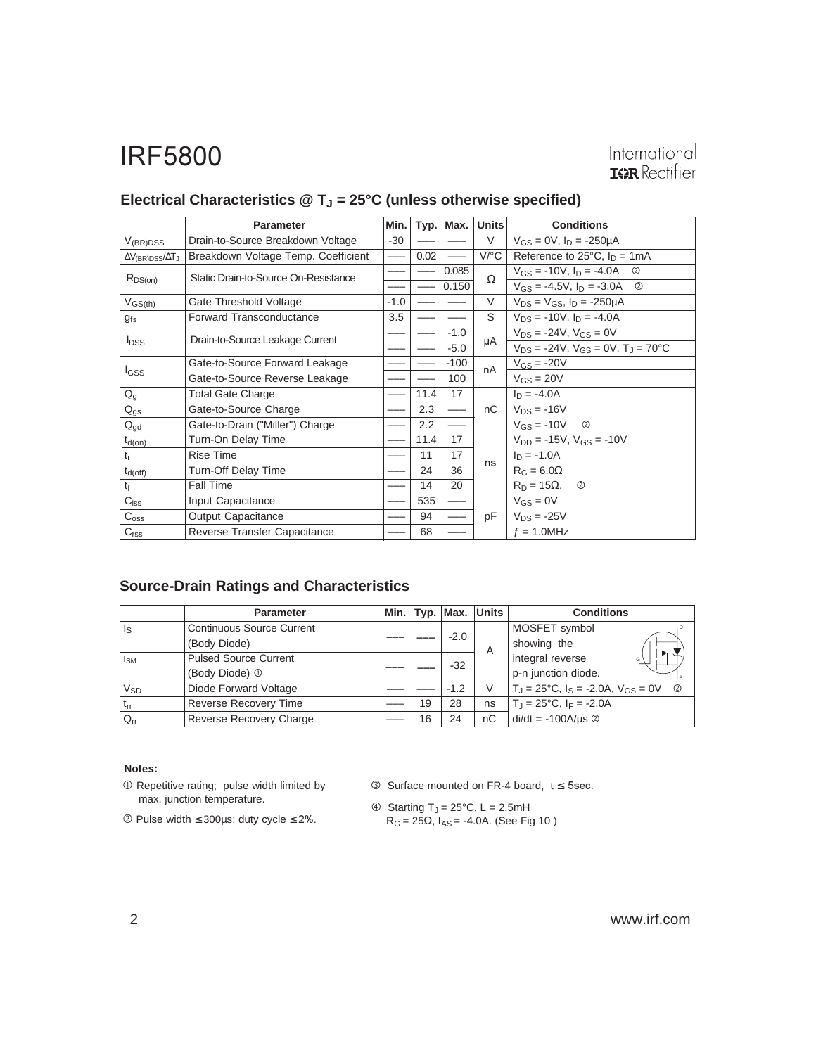#### International **IGR** Rectifier

|                                        | <b>Parameter</b>                     | Min.   | Typ. | Max.   | <b>Units</b> | <b>Conditions</b>                                     |
|----------------------------------------|--------------------------------------|--------|------|--------|--------------|-------------------------------------------------------|
| $V_{(BR)DSS}$                          | Drain-to-Source Breakdown Voltage    | $-30$  |      |        | $\vee$       | $V_{GS} = 0V$ , $I_D = -250 \mu A$                    |
| $\Delta V_{\text{(BR)DSS}}/\Delta T_J$ | Breakdown Voltage Temp. Coefficient  |        | 0.02 |        | $V$ /°C      | Reference to $25^{\circ}$ C, $I_D = 1 \text{mA}$      |
|                                        | Static Drain-to-Source On-Resistance |        |      | 0.085  | Ω            | $V_{GS}$ = -10V, $I_D$ = -4.0A<br>$\circled{2}$       |
| $R_{DS(on)}$                           |                                      |        |      | 0.150  |              | $V_{GS} = -4.5V$ , $I_D = -3.0A$ <sup>②</sup>         |
| $V_{GS(th)}$                           | Gate Threshold Voltage               | $-1.0$ |      |        | V            | $V_{DS} = V_{GS}$ , $I_D = -250 \mu A$                |
| $g_{\mathsf{fs}}$                      | <b>Forward Transconductance</b>      | 3.5    |      |        | S            | $V_{DS}$ = -10V, $I_D$ = -4.0A                        |
|                                        | Drain-to-Source Leakage Current      |        |      | $-1.0$ |              | $V_{DS}$ = -24V, $V_{GS}$ = 0V                        |
| <b>I</b> <sub>DSS</sub>                |                                      |        |      | $-5.0$ | μA           | $V_{DS}$ = -24V, $V_{GS}$ = 0V, T <sub>J</sub> = 70°C |
|                                        | Gate-to-Source Forward Leakage       |        |      | $-100$ | nA           | $V_{GS} = -20V$                                       |
| I <sub>GSS</sub>                       | Gate-to-Source Reverse Leakage       |        |      | 100    |              | $V_{GS} = 20V$                                        |
| $Q_g$                                  | <b>Total Gate Charge</b>             |        | 11.4 | 17     |              | $I_D = -4.0A$                                         |
| $Q_{gs}$                               | Gate-to-Source Charge                |        | 2.3  |        | nС           | $V_{DS} = -16V$                                       |
| $Q_{gd}$                               | Gate-to-Drain ("Miller") Charge      |        | 2.2  |        |              | $V_{GS} = -10V$<br>$^{\circledR}$                     |
| $t_{d(0n)}$                            | Turn-On Delay Time                   |        | 11.4 | 17     |              | $V_{DD} = -15V$ , $V_{GS} = -10V$                     |
| $t_{r}$                                | <b>Rise Time</b>                     |        | 11   | 17     |              | $I_D = -1.0A$                                         |
| $t_{d(off)}$                           | <b>Turn-Off Delay Time</b>           |        | 24   | 36     | ns           | $R_G = 6.0\Omega$                                     |
| $t_{\rm f}$                            | Fall Time                            |        | 14   | 20     |              | $R_D = 15\Omega$<br>$^{\circledR}$                    |
| $C_{iss}$                              | Input Capacitance                    |        | 535  |        |              | $V_{GS} = 0V$                                         |
| $C_{\rm oss}$                          | <b>Output Capacitance</b>            |        | 94   |        | pF           | $V_{DS} = -25V$                                       |
| C <sub>rss</sub>                       | Reverse Transfer Capacitance         |        | 68   |        |              | $f = 1.0$ MHz                                         |

#### Electrical Characteristics @ T<sub>J</sub> = 25°C (unless otherwise specified)

#### **Source-Drain Ratings and Characteristics**

|                       | <b>Parameter</b>                 |    |        | Min. Typ. Max. Units | <b>Conditions</b>                                                          |
|-----------------------|----------------------------------|----|--------|----------------------|----------------------------------------------------------------------------|
| ls                    | <b>Continuous Source Current</b> |    |        |                      | MOSFET symbol                                                              |
|                       | (Body Diode)                     |    | $-2.0$ | A                    | showing the                                                                |
| $I_{SM}$              | <b>Pulsed Source Current</b>     |    | $-32$  |                      | integral reverse<br>G                                                      |
|                       | (Body Diode) <sup>1</sup>        |    |        |                      | p-n junction diode.                                                        |
| <b>V<sub>SD</sub></b> | Diode Forward Voltage            |    | $-1.2$ | V                    | $T_J = 25^{\circ}\text{C}$ , $I_S = -2.0\text{A}$ , $V_{GS} = 0\text{V}$ © |
| $t_{rr}$              | <b>Reverse Recovery Time</b>     | 19 | 28     | ns                   | $T_{\rm J}$ = 25°C, $I_{\rm F}$ = -2.0A                                    |
| $Q_{rr}$              | Reverse Recovery Charge          | 16 | 24     | nC                   | $di/dt = -100A/\mu s$ <sup>②</sup>                                         |

#### Notes:

- Repetitive rating; pulse width limited by max. junction temperature.
- $©$  Pulse width ≤ 300µs; duty cycle ≤ 2%.
- $\circled{S}$  Surface mounted on FR-4 board,  $t \leq 5$ sec.
- $\circledA$  Starting T<sub>J</sub> = 25°C, L = 2.5mH  $R_G$  = 25Ω, I<sub>AS</sub> = -4.0A. (See Fig 10 )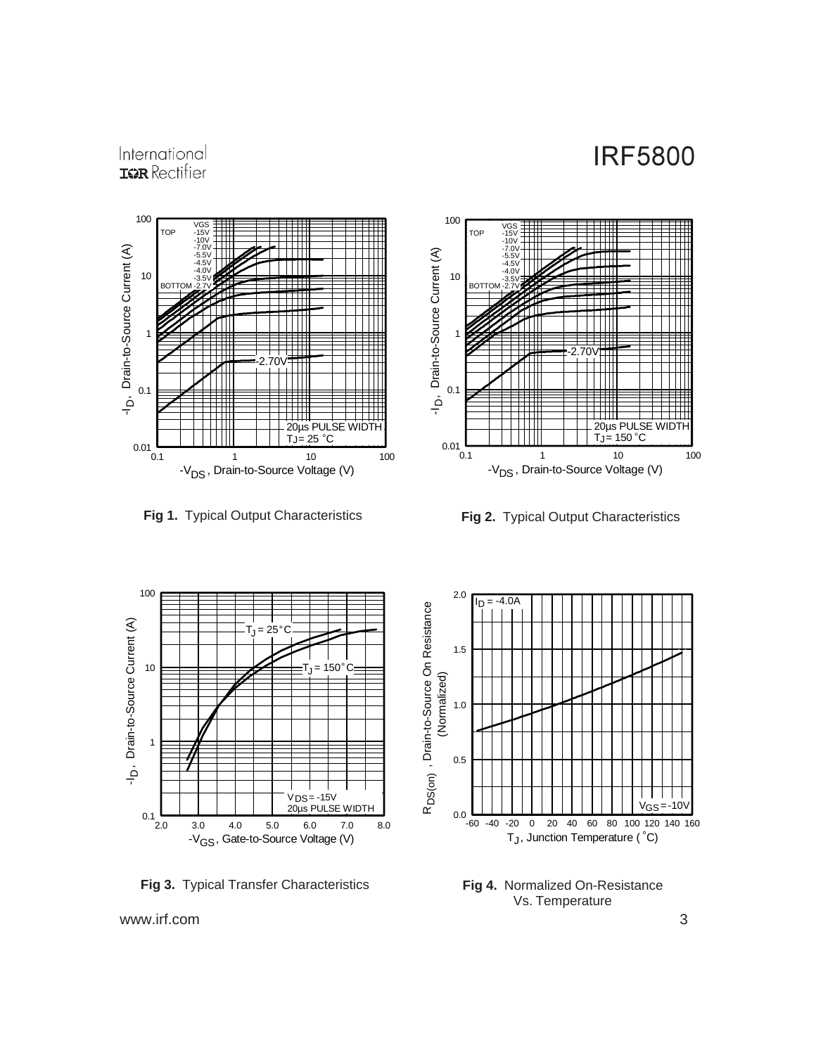#### International **IGR** Rectifier



**Fig 1.** Typical Output Characteristics **Fig 2.** Typical Output Characteristics





**Fig 3.** Typical Transfer Characteristics



**Fig 4.** Normalized On-Resistance Vs. Temperature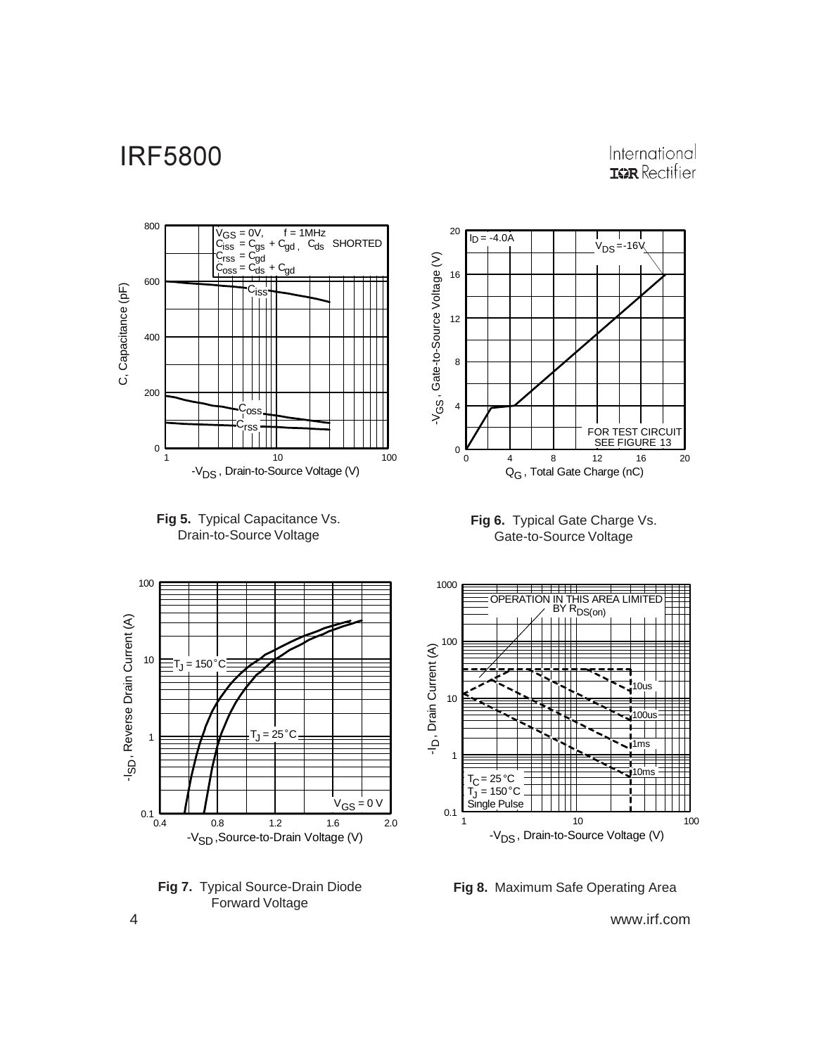#### International **IGR** Rectifier















**Fig 8.** Maximum Safe Operating Area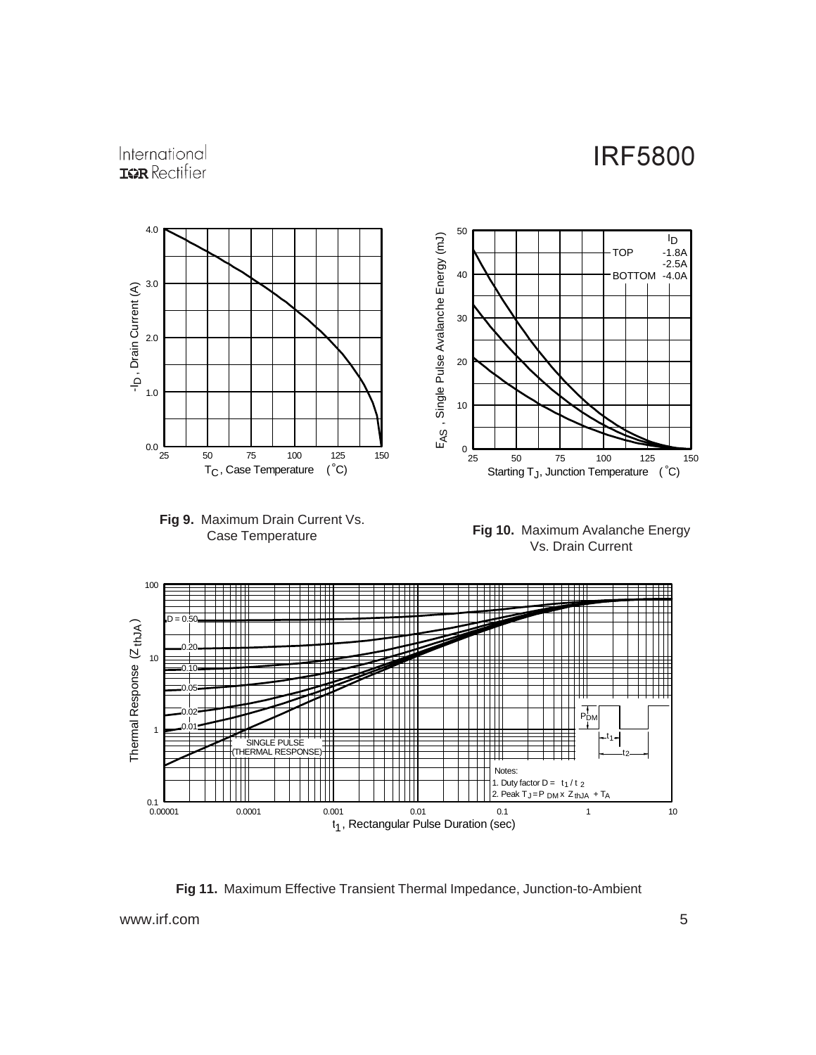#### International **IGR** Rectifier



**Fig 11.** Maximum Effective Transient Thermal Impedance, Junction-to-Ambient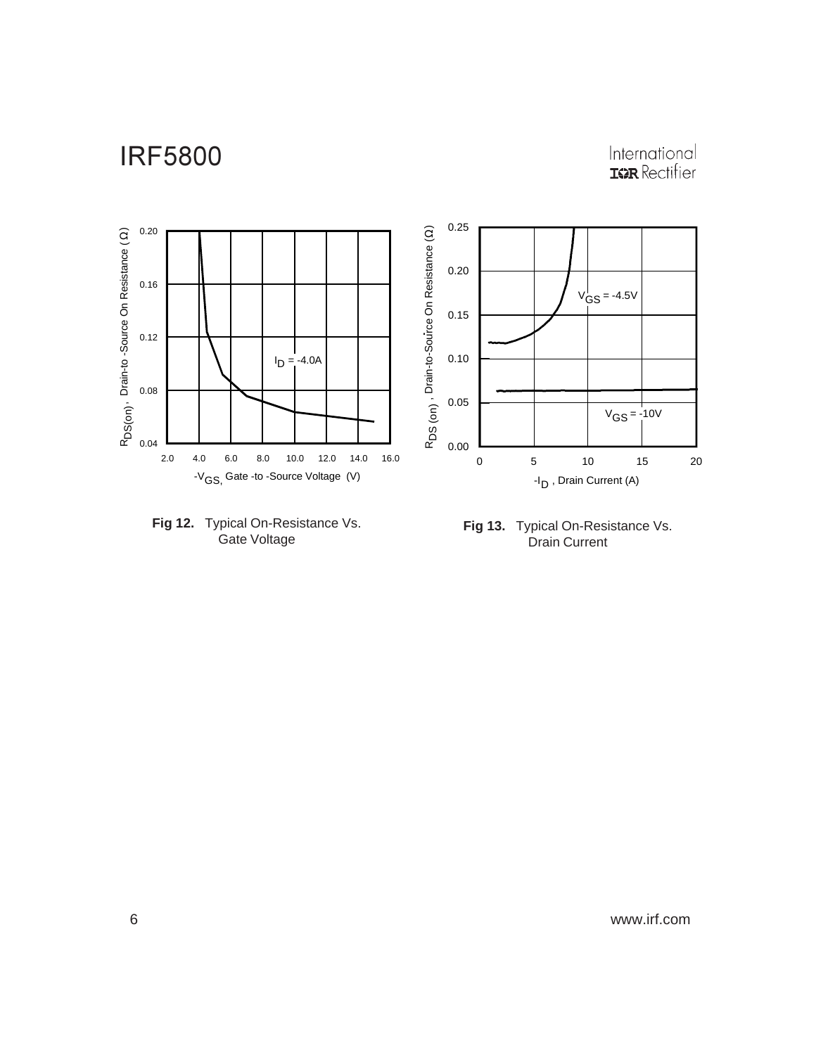# International<br>**IGR** Rectifier





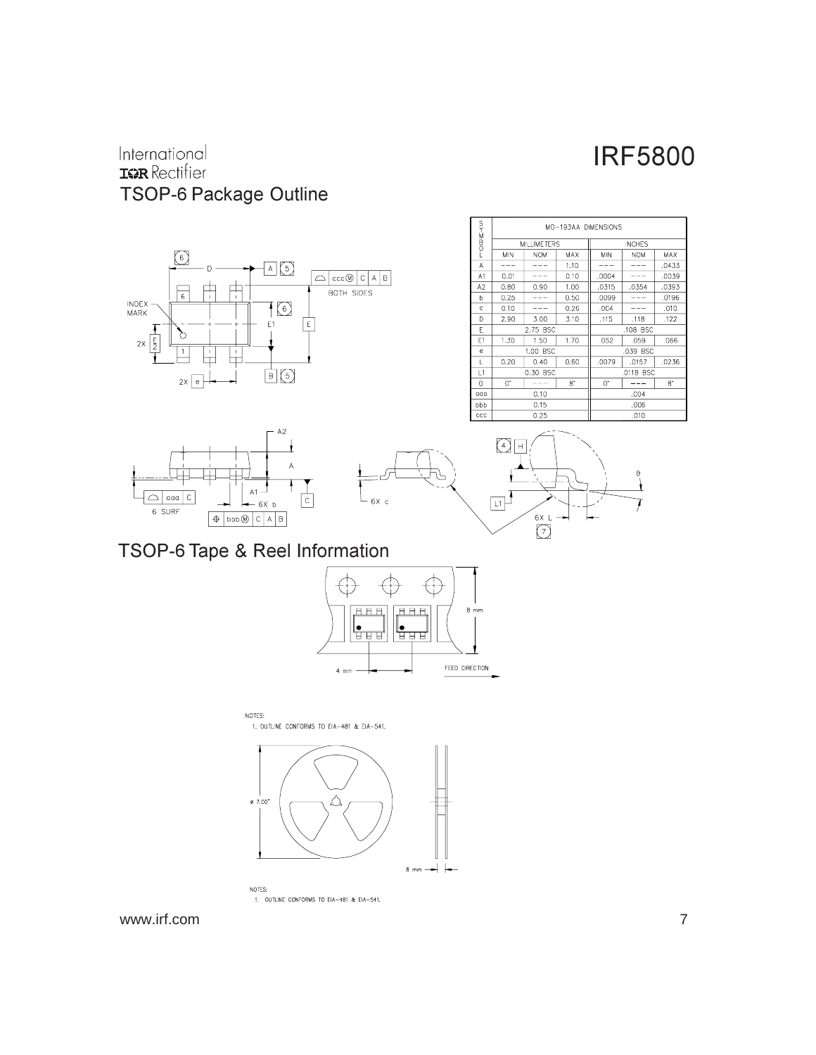#### International **IGR** Rectifier TSOP-6 Package Outline











TSOP-6 Tape & Reel Information



NOTES: 1. OUTLINE CONFORMS TO EIA-481 & EIA-541.



1. OUTLINE CONFORMS TO EIA-481 & EIA-541.